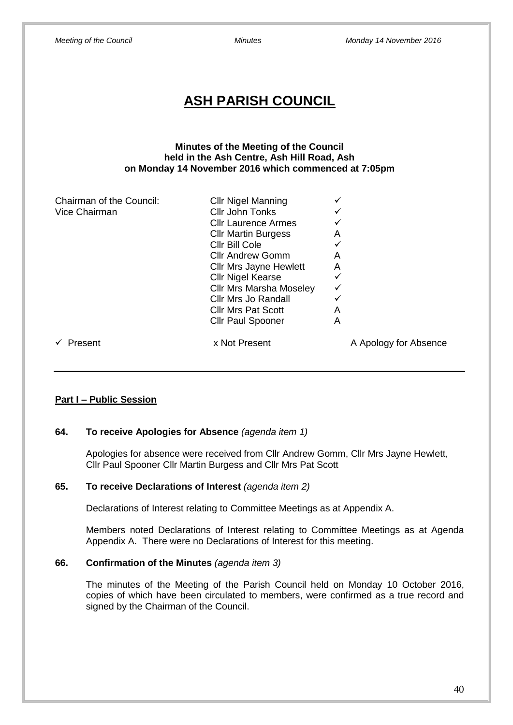| <b>Meeting of the Council</b>                                                                                                                      | <b>Minutes</b>                                                                                                                                                                                                                                                                                                                              | Monday 14 November 2016                                        |  |  |  |  |  |
|----------------------------------------------------------------------------------------------------------------------------------------------------|---------------------------------------------------------------------------------------------------------------------------------------------------------------------------------------------------------------------------------------------------------------------------------------------------------------------------------------------|----------------------------------------------------------------|--|--|--|--|--|
| <b>ASH PARISH COUNCIL</b>                                                                                                                          |                                                                                                                                                                                                                                                                                                                                             |                                                                |  |  |  |  |  |
| <b>Minutes of the Meeting of the Council</b><br>held in the Ash Centre, Ash Hill Road, Ash<br>on Monday 14 November 2016 which commenced at 7:05pm |                                                                                                                                                                                                                                                                                                                                             |                                                                |  |  |  |  |  |
| Chairman of the Council:<br>Vice Chairman                                                                                                          | <b>Cllr Nigel Manning</b><br>Cllr John Tonks<br><b>Cllr Laurence Armes</b><br><b>Cllr Martin Burgess</b><br>Cllr Bill Cole<br><b>Cllr Andrew Gomm</b><br><b>Cllr Mrs Jayne Hewlett</b><br><b>Cllr Nigel Kearse</b><br><b>Cllr Mrs Marsha Moseley</b><br><b>Cllr Mrs Jo Randall</b><br><b>Cllr Mrs Pat Scott</b><br><b>Cllr Paul Spooner</b> | ✓<br>✓<br>A<br>✓<br>A<br>A<br>$\checkmark$<br>✓<br>✓<br>A<br>A |  |  |  |  |  |
| Present<br>$\checkmark$                                                                                                                            | x Not Present                                                                                                                                                                                                                                                                                                                               | A Apology for Absence                                          |  |  |  |  |  |

# **Part I – Public Session**

### **64. To receive Apologies for Absence** *(agenda item 1)*

Apologies for absence were received from Cllr Andrew Gomm, Cllr Mrs Jayne Hewlett, Cllr Paul Spooner Cllr Martin Burgess and Cllr Mrs Pat Scott

## **65. To receive Declarations of Interest** *(agenda item 2)*

Declarations of Interest relating to Committee Meetings as at Appendix A.

Members noted Declarations of Interest relating to Committee Meetings as at Agenda Appendix A. There were no Declarations of Interest for this meeting.

# **66. Confirmation of the Minutes** *(agenda item 3)*

The minutes of the Meeting of the Parish Council held on Monday 10 October 2016, copies of which have been circulated to members, were confirmed as a true record and signed by the Chairman of the Council.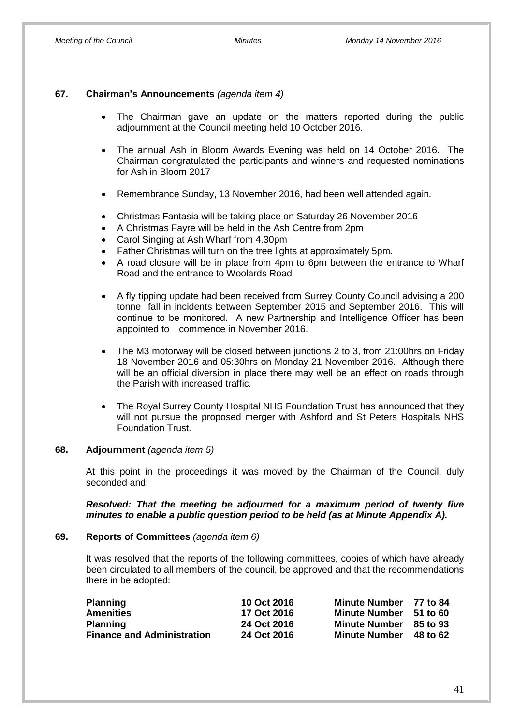### **67. Chairman's Announcements** *(agenda item 4)*

- The Chairman gave an update on the matters reported during the public adjournment at the Council meeting held 10 October 2016.
- The annual Ash in Bloom Awards Evening was held on 14 October 2016. The Chairman congratulated the participants and winners and requested nominations for Ash in Bloom 2017
- Remembrance Sunday, 13 November 2016, had been well attended again.
- Christmas Fantasia will be taking place on Saturday 26 November 2016
- A Christmas Fayre will be held in the Ash Centre from 2pm
- Carol Singing at Ash Wharf from 4.30pm
- Father Christmas will turn on the tree lights at approximately 5pm.
- A road closure will be in place from 4pm to 6pm between the entrance to Wharf Road and the entrance to Woolards Road
- A fly tipping update had been received from Surrey County Council advising a 200 tonne fall in incidents between September 2015 and September 2016. This will continue to be monitored. A new Partnership and Intelligence Officer has been appointed to commence in November 2016.
- The M3 motorway will be closed between junctions 2 to 3, from 21:00hrs on Friday 18 November 2016 and 05:30hrs on Monday 21 November 2016. Although there will be an official diversion in place there may well be an effect on roads through the Parish with increased traffic.
- The Royal Surrey County Hospital NHS Foundation Trust has announced that they will not pursue the proposed merger with Ashford and St Peters Hospitals NHS Foundation Trust.

### **68. Adjournment** *(agenda item 5)*

At this point in the proceedings it was moved by the Chairman of the Council, duly seconded and:

*Resolved: That the meeting be adjourned for a maximum period of twenty five minutes to enable a public question period to be held (as at Minute Appendix A).*

### **69. Reports of Committees** *(agenda item 6)*

It was resolved that the reports of the following committees, copies of which have already been circulated to all members of the council, be approved and that the recommendations there in be adopted:

| <b>Planning</b>                   | 10 Oct 2016 | Minute Number 77 to 84 |          |
|-----------------------------------|-------------|------------------------|----------|
| Amenities                         | 17 Oct 2016 | <b>Minute Number</b>   | 51 to 60 |
| <b>Planning</b>                   | 24 Oct 2016 | <b>Minute Number</b>   | 85 to 93 |
| <b>Finance and Administration</b> | 24 Oct 2016 | <b>Minute Number</b>   | 48 to 62 |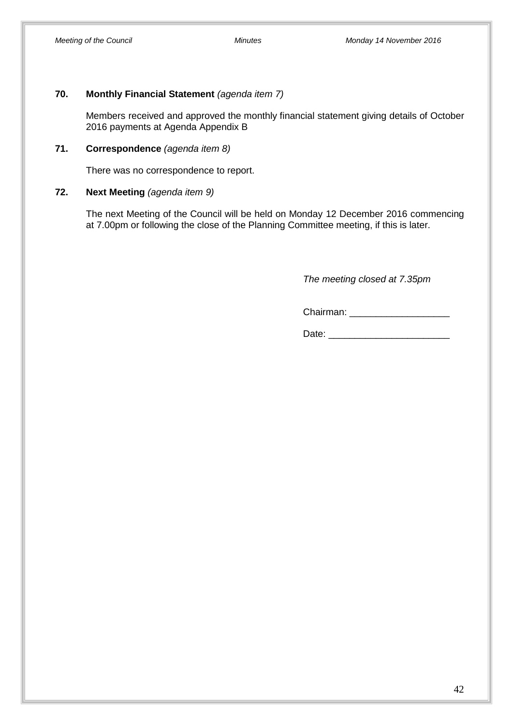### **70. Monthly Financial Statement** *(agenda item 7)*

Members received and approved the monthly financial statement giving details of October 2016 payments at Agenda Appendix B

### **71. Correspondence** *(agenda item 8)*

There was no correspondence to report.

### **72. Next Meeting** *(agenda item 9)*

The next Meeting of the Council will be held on Monday 12 December 2016 commencing at 7.00pm or following the close of the Planning Committee meeting, if this is later.

*The meeting closed at 7.35pm*

Chairman: \_\_\_\_\_\_\_\_\_\_\_\_\_\_\_\_\_\_\_

Date: \_\_\_\_\_\_\_\_\_\_\_\_\_\_\_\_\_\_\_\_\_\_\_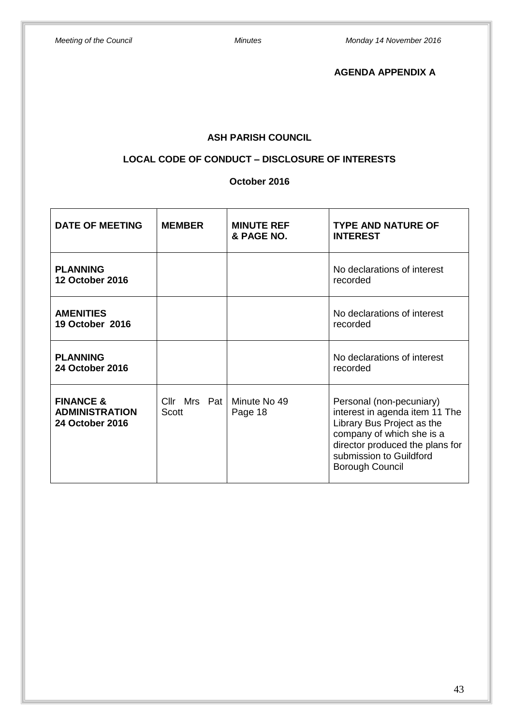**AGENDA APPENDIX A**

# **ASH PARISH COUNCIL**

# **LOCAL CODE OF CONDUCT – DISCLOSURE OF INTERESTS**

### **October 2016**

| <b>DATE OF MEETING</b>                                                  | <b>MEMBER</b>                        | <b>MINUTE REF</b><br>& PAGE NO. | <b>TYPE AND NATURE OF</b><br><b>INTEREST</b>                                                                                                                                                           |  |
|-------------------------------------------------------------------------|--------------------------------------|---------------------------------|--------------------------------------------------------------------------------------------------------------------------------------------------------------------------------------------------------|--|
| <b>PLANNING</b><br><b>12 October 2016</b>                               |                                      |                                 | No declarations of interest<br>recorded                                                                                                                                                                |  |
| <b>AMENITIES</b><br><b>19 October 2016</b>                              |                                      |                                 | No declarations of interest<br>recorded                                                                                                                                                                |  |
| <b>PLANNING</b><br><b>24 October 2016</b>                               |                                      |                                 | No declarations of interest<br>recorded                                                                                                                                                                |  |
| <b>FINANCE &amp;</b><br><b>ADMINISTRATION</b><br><b>24 October 2016</b> | Cllr Mrs Pat   Minute No 49<br>Scott | Page 18                         | Personal (non-pecuniary)<br>interest in agenda item 11 The<br>Library Bus Project as the<br>company of which she is a<br>director produced the plans for<br>submission to Guildford<br>Borough Council |  |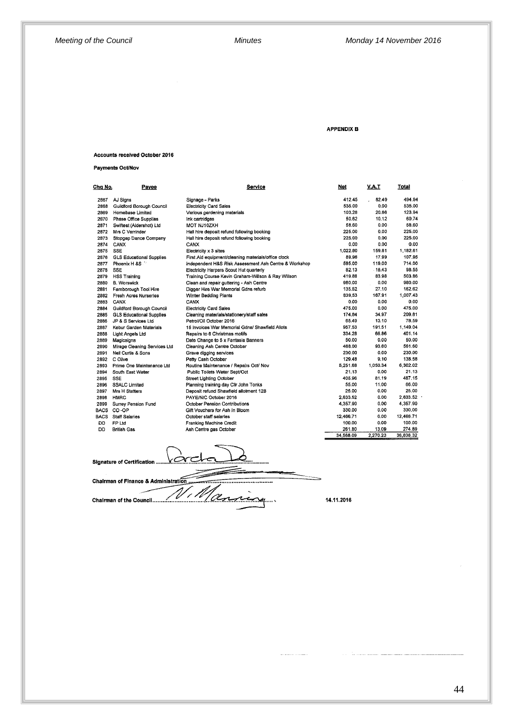#### **APPENDIX B**

#### Accounts received October 2016

**Payments Oct/Nov** 

| Cha No.     | <b>Payee</b>                     | Service                                               | Not       | <u>V.A.T</u> | <b>Total</b> |
|-------------|----------------------------------|-------------------------------------------------------|-----------|--------------|--------------|
| 2867        | AJ Signs                         | Signage - Parks                                       | 412.45    | 82.49        | 494.94       |
| 2868        | <b>Guildford Borough Council</b> | <b>Electricity Card Sales</b>                         | 535.00    | 0.00         | 535.00       |
| 2869        | Homebase Limited                 | Various gardening materials                           | 103.28    | 20.66        | 123.94       |
| 2870        | Phase Office Supplies            | Ink cartridges                                        | 50.62     | 10.12        | 60.74        |
| 2871        | Swiftest (Aldershot) Ltd         | MOT NJ10ZXH                                           | 58.60     | 0.00.        | 58.60        |
| 2872        | Mrs C Verrinder                  | Hall hire deposit refund following booking            | 225.00    | 0.00         | 225.00       |
| 2873        | Stopgap Dance Company            | Hall hire deposit refund following booking            | 225.00    | 0.00         | 225.00       |
| 2874        | CANX                             | CANX                                                  | 0.00      | 0.00         | 0.00         |
| 2875        | <b>SSE</b>                       | Electricity x 3 sites                                 | 1.022.80  | 159.81       | 1.182.61     |
| 2876        | <b>GLS Educational Supplies</b>  | First Aid equipment/cleaning materials/office clock   | 89.96     | 17.99        | 107.95       |
| 2877        | Phoenix H &S                     | Independent H&S Risk Assessment Ash Centre & Workshop | 595.00    | 119.00       | 714.00       |
| 2878        | <b>SSE</b>                       | Electricity Harpers Scout Hut quarterly               | 82.13     | .16,43       | 98.55        |
| 2879        | <b>HSS Training</b>              | Training Course Kevin Graham-Willson & Ray Willson    | 419.88    | 83.98        | 503.86       |
| 2880        | <b>B. Worswick</b>               | Clean and repair guttering - Ash Centre               | 980.00    | 0.00         | 980.00       |
| 2881        | Famborough Tool Hire             | Digger Hire War Memorial Gdns refurb                  | 135.52    | 27.10        | 162.62       |
| 2882        | <b>Fresh Acres Nurseries</b>     | Winter Bedding Plants                                 | 839,53    | 167.91       | 1,007.43     |
| 2883        | CANX                             | CANX                                                  | 0.00      | 0.00         | 0.00         |
| 2884        | Guildford Borough Council        | <b>Electricity Card Sales</b>                         | 475.00    | 0.00         | 475.00       |
| 2885        | <b>GLS Educational Supplies</b>  | Cleaning materials/stationery/staff sales             | 174.84    | 34.97        | 209.81       |
| 2886        | JP & S Services Ltd              | Petrol/Oil October 2016                               | 65.49     | 13.10        | 78.59        |
| 2887        | Kebur Garden Materials           | 15 Invoices War Memorial Gdns/ Shawfield Allots       | 957.53    | 191.51       | 1.149.04     |
| 2888        | Light Angels Ltd                 | Repairs to 6 Christmas motifs                         | 334.28    | 66.86        | 401.14       |
| 2889        | Magicsigns                       | Date Change to 5 x Fantasia Banners                   | 50.00     | 0.00         | 50.00        |
| 2890        | Mirage Cleaning Services Ltd     | Cleaning Ash Centre October                           | 468.00    | 93.60        | 561.60       |
| 2891        | Neil Curtis & Sons               | Grave digging services                                | 230.00    | 0.00         | 230.00       |
| 2892        | C Oilve                          | Petty Cash October                                    | 129.48    | 9.10         | 138.58       |
| 2893        | Prime One Maintenance Ltd        | Routine Maintenance / Repairs Oct/ Nov                | 5.251.68  | 1,050.34     | 6,302.02     |
| 2894        | South East Water                 | Public Toilets Water Sept/Oct                         | 21.13     | 0.00         | 21.13        |
| 2895        | <b>SSE</b>                       | <b>Street Lighting October</b>                        | 405.96    | 81.19        | 487.15       |
| 2896        | <b>SSALC Limited</b>             | Planning training day Clir John Tonks                 | 55.00     | 11.00        | 66.00        |
| 2897        | Mrs H Statters                   | Deposit refund Shawfield allotment 12B                | 25.00     | 0.00         | 25,00        |
| 2898        | <b>HMRC</b>                      | PAYE/NIC October 2016                                 | 2,633.52  | 0.00         | 2,633.52     |
| 2899        | Surrey Pension Fund              | October Pension Contributions                         | 4.357.90  | 0.00         | 4,357.90     |
| <b>BACS</b> | CO-OP                            | Gift Vouchers for Ash in Bloom                        | 330.00    | 0.00         | 330.00       |
| <b>BACS</b> | <b>Staff Salaries</b>            | October staff salaries                                | 12,466.71 | 0,00         | 12,466.71    |
| DD          | FP Ltd                           | Franking Machine Credit                               | 100.00    | 0.00         | 100.00       |
| DD          | <b>British Gas</b>               | Ash Centre gas October                                | 261.80    | 13.09        | 274.89       |
|             |                                  |                                                       | 34 568 09 | 2.270.23     | 36.838.32    |

<u>varal</u> Signature of Certification ... Chairman of Finance & Administration... ...................... 'OL, æ.

14.11.2016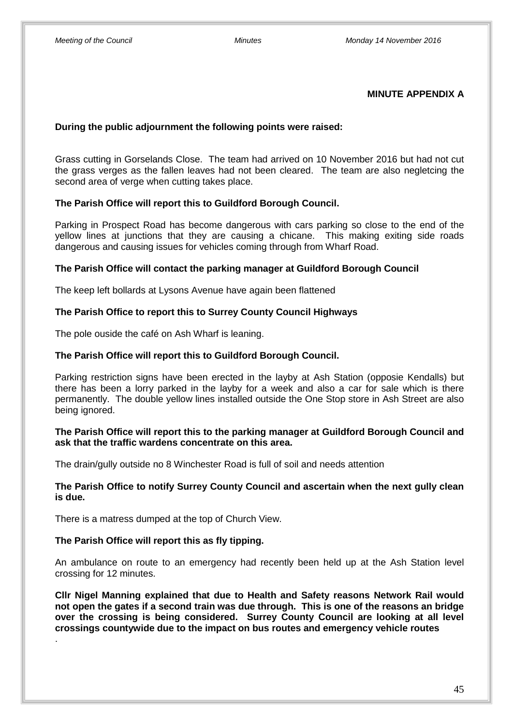### **MINUTE APPENDIX A**

### **During the public adjournment the following points were raised:**

Grass cutting in Gorselands Close. The team had arrived on 10 November 2016 but had not cut the grass verges as the fallen leaves had not been cleared. The team are also negletcing the second area of verge when cutting takes place.

### **The Parish Office will report this to Guildford Borough Council.**

Parking in Prospect Road has become dangerous with cars parking so close to the end of the yellow lines at junctions that they are causing a chicane. This making exiting side roads dangerous and causing issues for vehicles coming through from Wharf Road.

### **The Parish Office will contact the parking manager at Guildford Borough Council**

The keep left bollards at Lysons Avenue have again been flattened

### **The Parish Office to report this to Surrey County Council Highways**

The pole ouside the café on Ash Wharf is leaning.

### **The Parish Office will report this to Guildford Borough Council.**

Parking restriction signs have been erected in the layby at Ash Station (opposie Kendalls) but there has been a lorry parked in the layby for a week and also a car for sale which is there permanently. The double yellow lines installed outside the One Stop store in Ash Street are also being ignored.

### **The Parish Office will report this to the parking manager at Guildford Borough Council and ask that the traffic wardens concentrate on this area.**

The drain/gully outside no 8 Winchester Road is full of soil and needs attention

### **The Parish Office to notify Surrey County Council and ascertain when the next gully clean is due.**

There is a matress dumped at the top of Church View.

### **The Parish Office will report this as fly tipping.**

.

An ambulance on route to an emergency had recently been held up at the Ash Station level crossing for 12 minutes.

**Cllr Nigel Manning explained that due to Health and Safety reasons Network Rail would not open the gates if a second train was due through. This is one of the reasons an bridge over the crossing is being considered. Surrey County Council are looking at all level crossings countywide due to the impact on bus routes and emergency vehicle routes**